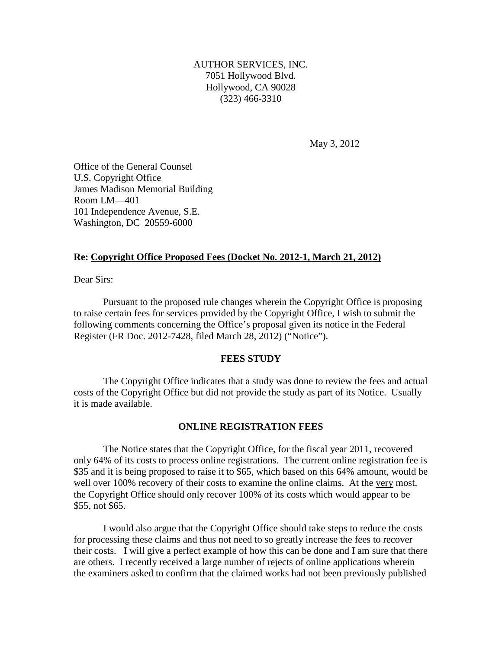AUTHOR SERVICES, INC. 7051 Hollywood Blvd. Hollywood, CA 90028 (323) 466-3310

May 3, 2012

Office of the General Counsel U.S. Copyright Office James Madison Memorial Building Room LM—401 101 Independence Avenue, S.E. Washington, DC 20559-6000

# **Re: Copyright Office Proposed Fees (Docket No. 2012-1, March 21, 2012)**

Dear Sirs:

 Pursuant to the proposed rule changes wherein the Copyright Office is proposing to raise certain fees for services provided by the Copyright Office, I wish to submit the following comments concerning the Office's proposal given its notice in the Federal Register (FR Doc. 2012-7428, filed March 28, 2012) ("Notice").

# **FEES STUDY**

 The Copyright Office indicates that a study was done to review the fees and actual costs of the Copyright Office but did not provide the study as part of its Notice. Usually it is made available.

# **ONLINE REGISTRATION FEES**

 The Notice states that the Copyright Office, for the fiscal year 2011, recovered only 64% of its costs to process online registrations. The current online registration fee is \$35 and it is being proposed to raise it to \$65, which based on this 64% amount, would be well over 100% recovery of their costs to examine the online claims. At the very most, the Copyright Office should only recover 100% of its costs which would appear to be \$55, not \$65.

 I would also argue that the Copyright Office should take steps to reduce the costs for processing these claims and thus not need to so greatly increase the fees to recover their costs. I will give a perfect example of how this can be done and I am sure that there are others. I recently received a large number of rejects of online applications wherein the examiners asked to confirm that the claimed works had not been previously published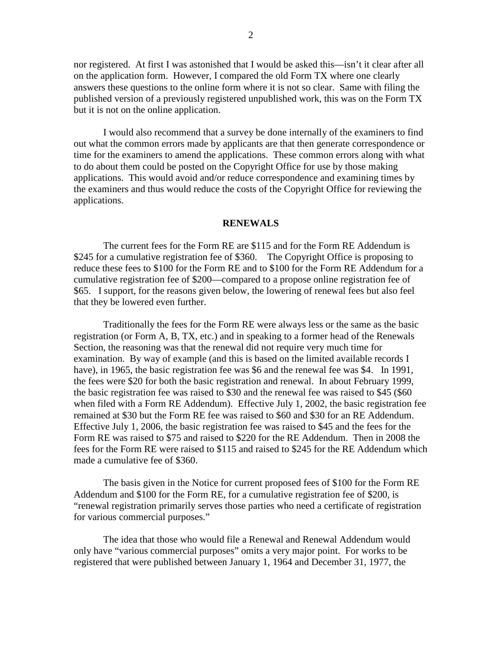nor registered. At first I was astonished that I would be asked this—isn't it clear after all on the application form. However, I compared the old Form TX where one clearly answers these questions to the online form where it is not so clear. Same with filing the published version of a previously registered unpublished work, this was on the Form TX but it is not on the online application.

I would also recommend that a survey be done internally of the examiners to find out what the common errors made by applicants are that then generate correspondence or time for the examiners to amend the applications. These common errors along with what to do about them could be posted on the Copyright Office for use by those making applications. This would avoid and/or reduce correspondence and examining times by the examiners and thus would reduce the costs of the Copyright Office for reviewing the applications.

#### **RENEWALS**

The current fees for the Form RE are \$115 and for the Form RE Addendum is \$245 for a cumulative registration fee of \$360. The Copyright Office is proposing to reduce these fees to \$100 for the Form RE and to \$100 for the Form RE Addendum for a cumulative registration fee of \$200—compared to a propose online registration fee of \$65. I support, for the reasons given below, the lowering of renewal fees but also feel that they be lowered even further.

 Traditionally the fees for the Form RE were always less or the same as the basic registration (or Form A, B, TX, etc.) and in speaking to a former head of the Renewals Section, the reasoning was that the renewal did not require very much time for examination. By way of example (and this is based on the limited available records I have), in 1965, the basic registration fee was \$6 and the renewal fee was \$4. In 1991, the fees were \$20 for both the basic registration and renewal. In about February 1999, the basic registration fee was raised to \$30 and the renewal fee was raised to \$45 (\$60 when filed with a Form RE Addendum). Effective July 1, 2002, the basic registration fee remained at \$30 but the Form RE fee was raised to \$60 and \$30 for an RE Addendum. Effective July 1, 2006, the basic registration fee was raised to \$45 and the fees for the Form RE was raised to \$75 and raised to \$220 for the RE Addendum. Then in 2008 the fees for the Form RE were raised to \$115 and raised to \$245 for the RE Addendum which made a cumulative fee of \$360.

The basis given in the Notice for current proposed fees of \$100 for the Form RE Addendum and \$100 for the Form RE, for a cumulative registration fee of \$200, is "renewal registration primarily serves those parties who need a certificate of registration for various commercial purposes."

The idea that those who would file a Renewal and Renewal Addendum would only have "various commercial purposes" omits a very major point. For works to be registered that were published between January 1, 1964 and December 31, 1977, the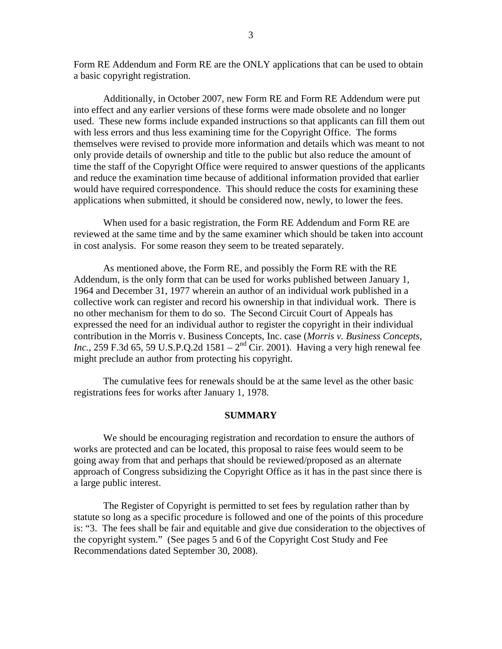Form RE Addendum and Form RE are the ONLY applications that can be used to obtain a basic copyright registration.

 Additionally, in October 2007, new Form RE and Form RE Addendum were put into effect and any earlier versions of these forms were made obsolete and no longer used. These new forms include expanded instructions so that applicants can fill them out with less errors and thus less examining time for the Copyright Office. The forms themselves were revised to provide more information and details which was meant to not only provide details of ownership and title to the public but also reduce the amount of time the staff of the Copyright Office were required to answer questions of the applicants and reduce the examination time because of additional information provided that earlier would have required correspondence. This should reduce the costs for examining these applications when submitted, it should be considered now, newly, to lower the fees.

 When used for a basic registration, the Form RE Addendum and Form RE are reviewed at the same time and by the same examiner which should be taken into account in cost analysis. For some reason they seem to be treated separately.

 As mentioned above, the Form RE, and possibly the Form RE with the RE Addendum, is the only form that can be used for works published between January 1, 1964 and December 31, 1977 wherein an author of an individual work published in a collective work can register and record his ownership in that individual work. There is no other mechanism for them to do so. The Second Circuit Court of Appeals has expressed the need for an individual author to register the copyright in their individual contribution in the Morris v. Business Concepts, Inc. case (*Morris v. Business Concepts, Inc.*, 259 F.3d 65, 59 U.S.P.Q.2d 1581 –  $2<sup>nd</sup>$  Cir. 2001). Having a very high renewal fee might preclude an author from protecting his copyright.

 The cumulative fees for renewals should be at the same level as the other basic registrations fees for works after January 1, 1978.

# **SUMMARY**

 We should be encouraging registration and recordation to ensure the authors of works are protected and can be located, this proposal to raise fees would seem to be going away from that and perhaps that should be reviewed/proposed as an alternate approach of Congress subsidizing the Copyright Office as it has in the past since there is a large public interest.

The Register of Copyright is permitted to set fees by regulation rather than by statute so long as a specific procedure is followed and one of the points of this procedure is: "3. The fees shall be fair and equitable and give due consideration to the objectives of the copyright system." (See pages 5 and 6 of the Copyright Cost Study and Fee Recommendations dated September 30, 2008).